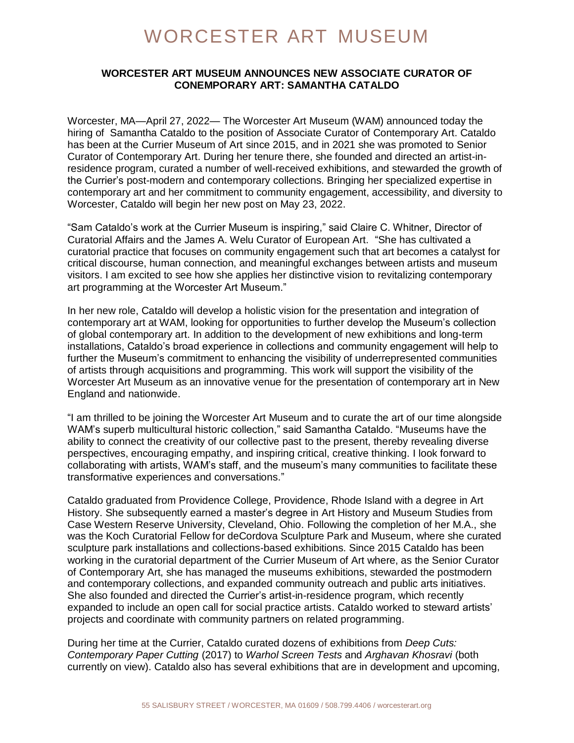## WORCESTER ART MUSEUM

## **WORCESTER ART MUSEUM ANNOUNCES NEW ASSOCIATE CURATOR OF CONEMPORARY ART: SAMANTHA CATALDO**

Worcester, MA—April 27, 2022— The Worcester Art Museum (WAM) announced today the hiring of Samantha Cataldo to the position of Associate Curator of Contemporary Art. Cataldo has been at the Currier Museum of Art since 2015, and in 2021 she was promoted to Senior Curator of Contemporary Art. During her tenure there, she founded and directed an artist-inresidence program, curated a number of well-received exhibitions, and stewarded the growth of the Currier's post-modern and contemporary collections. Bringing her specialized expertise in contemporary art and her commitment to community engagement, accessibility, and diversity to Worcester, Cataldo will begin her new post on May 23, 2022.

"Sam Cataldo's work at the Currier Museum is inspiring," said Claire C. Whitner, Director of Curatorial Affairs and the James A. Welu Curator of European Art. "She has cultivated a curatorial practice that focuses on community engagement such that art becomes a catalyst for critical discourse, human connection, and meaningful exchanges between artists and museum visitors. I am excited to see how she applies her distinctive vision to revitalizing contemporary art programming at the Worcester Art Museum."

In her new role, Cataldo will develop a holistic vision for the presentation and integration of contemporary art at WAM, looking for opportunities to further develop the Museum's collection of global contemporary art. In addition to the development of new exhibitions and long-term installations, Cataldo's broad experience in collections and community engagement will help to further the Museum's commitment to enhancing the visibility of underrepresented communities of artists through acquisitions and programming. This work will support the visibility of the Worcester Art Museum as an innovative venue for the presentation of contemporary art in New England and nationwide.

"I am thrilled to be joining the Worcester Art Museum and to curate the art of our time alongside WAM's superb multicultural historic collection," said Samantha Cataldo. "Museums have the ability to connect the creativity of our collective past to the present, thereby revealing diverse perspectives, encouraging empathy, and inspiring critical, creative thinking. I look forward to collaborating with artists, WAM's staff, and the museum's many communities to facilitate these transformative experiences and conversations."

Cataldo graduated from Providence College, Providence, Rhode Island with a degree in Art History. She subsequently earned a master's degree in Art History and Museum Studies from Case Western Reserve University, Cleveland, Ohio. Following the completion of her M.A., she was the Koch Curatorial Fellow for deCordova Sculpture Park and Museum, where she curated sculpture park installations and collections-based exhibitions. Since 2015 Cataldo has been working in the curatorial department of the Currier Museum of Art where, as the Senior Curator of Contemporary Art, she has managed the museums exhibitions, stewarded the postmodern and contemporary collections, and expanded community outreach and public arts initiatives. She also founded and directed the Currier's artist-in-residence program, which recently expanded to include an open call for social practice artists. Cataldo worked to steward artists' projects and coordinate with community partners on related programming.

During her time at the Currier, Cataldo curated dozens of exhibitions from *Deep Cuts: Contemporary Paper Cutting* (2017) to *Warhol Screen Tests* and *Arghavan Khosravi* (both currently on view). Cataldo also has several exhibitions that are in development and upcoming,